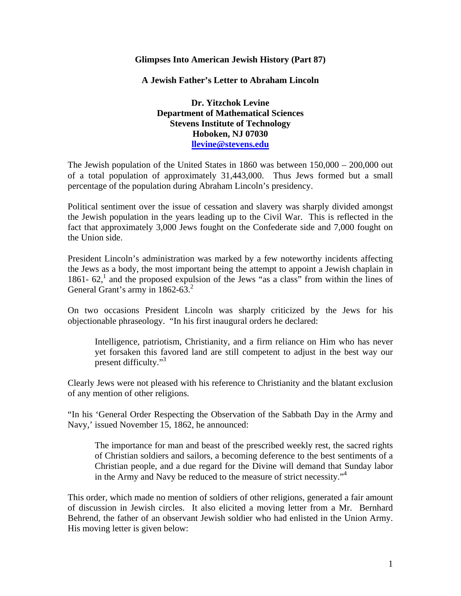## **Glimpses Into American Jewish History (Part 87)**

**A Jewish Father's Letter to Abraham Lincoln** 

**Dr. Yitzchok Levine Department of Mathematical Sciences Stevens Institute of Technology Hoboken, NJ 07030 llevine@stevens.edu**

The Jewish population of the United States in 1860 was between 150,000 – 200,000 out of a total population of approximately 31,443,000. Thus Jews formed but a small percentage of the population during Abraham Lincoln's presidency.

Political sentiment over the issue of cessation and slavery was sharply divided amongst the Jewish population in the years leading up to the Civil War. This is reflected in the fact that approximately 3,000 Jews fought on the Confederate side and 7,000 fought on the Union side.

President Lincoln's administration was marked by a few noteworthy incidents affecting the Jews as a body, the most important being the attempt to appoint a Jewish chaplain in 1861-  $62<sup>1</sup>$  and the proposed expulsion of the Jews "as a class" from within the lines of General Grant's army in  $1862-63.<sup>2</sup>$ 

On two occasions President Lincoln was sharply criticized by the Jews for his objectionable phraseology. "In his first inaugural orders he declared:

Intelligence, patriotism, Christianity, and a firm reliance on Him who has never yet forsaken this favored land are still competent to adjust in the best way our present difficulty."3

Clearly Jews were not pleased with his reference to Christianity and the blatant exclusion of any mention of other religions.

"In his 'General Order Respecting the Observation of the Sabbath Day in the Army and Navy,' issued November 15, 1862, he announced:

The importance for man and beast of the prescribed weekly rest, the sacred rights of Christian soldiers and sailors, a becoming deference to the best sentiments of a Christian people, and a due regard for the Divine will demand that Sunday labor in the Army and Navy be reduced to the measure of strict necessity."4

This order, which made no mention of soldiers of other religions, generated a fair amount of discussion in Jewish circles. It also elicited a moving letter from a Mr. Bernhard Behrend, the father of an observant Jewish soldier who had enlisted in the Union Army. His moving letter is given below: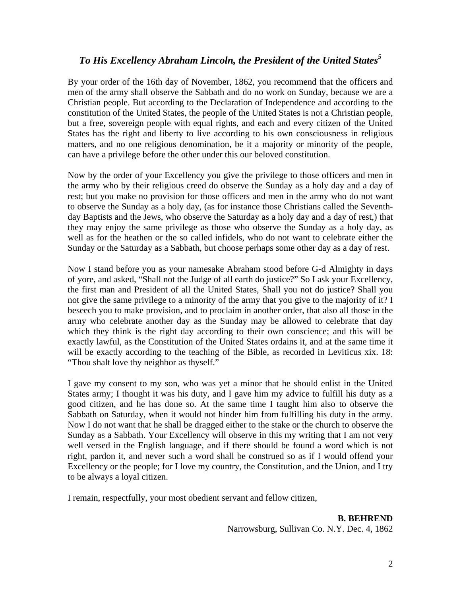## *To His Excellency Abraham Lincoln, the President of the United States5*

By your order of the 16th day of November, 1862, you recommend that the officers and men of the army shall observe the Sabbath and do no work on Sunday, because we are a Christian people. But according to the Declaration of Independence and according to the constitution of the United States, the people of the United States is not a Christian people, but a free, sovereign people with equal rights, and each and every citizen of the United States has the right and liberty to live according to his own consciousness in religious matters, and no one religious denomination, be it a majority or minority of the people, can have a privilege before the other under this our beloved constitution.

Now by the order of your Excellency you give the privilege to those officers and men in the army who by their religious creed do observe the Sunday as a holy day and a day of rest; but you make no provision for those officers and men in the army who do not want to observe the Sunday as a holy day, (as for instance those Christians called the Seventhday Baptists and the Jews, who observe the Saturday as a holy day and a day of rest,) that they may enjoy the same privilege as those who observe the Sunday as a holy day, as well as for the heathen or the so called infidels, who do not want to celebrate either the Sunday or the Saturday as a Sabbath, but choose perhaps some other day as a day of rest.

Now I stand before you as your namesake Abraham stood before G-d Almighty in days of yore, and asked, "Shall not the Judge of all earth do justice?" So I ask your Excellency, the first man and President of all the United States, Shall you not do justice? Shall you not give the same privilege to a minority of the army that you give to the majority of it? I beseech you to make provision, and to proclaim in another order, that also all those in the army who celebrate another day as the Sunday may be allowed to celebrate that day which they think is the right day according to their own conscience; and this will be exactly lawful, as the Constitution of the United States ordains it, and at the same time it will be exactly according to the teaching of the Bible, as recorded in Leviticus xix. 18: "Thou shalt love thy neighbor as thyself."

I gave my consent to my son, who was yet a minor that he should enlist in the United States army; I thought it was his duty, and I gave him my advice to fulfill his duty as a good citizen, and he has done so. At the same time I taught him also to observe the Sabbath on Saturday, when it would not hinder him from fulfilling his duty in the army. Now I do not want that he shall be dragged either to the stake or the church to observe the Sunday as a Sabbath. Your Excellency will observe in this my writing that I am not very well versed in the English language, and if there should be found a word which is not right, pardon it, and never such a word shall be construed so as if I would offend your Excellency or the people; for I love my country, the Constitution, and the Union, and I try to be always a loyal citizen.

I remain, respectfully, your most obedient servant and fellow citizen,

**B. BEHREND**  Narrowsburg, Sullivan Co. N.Y. Dec. 4, 1862